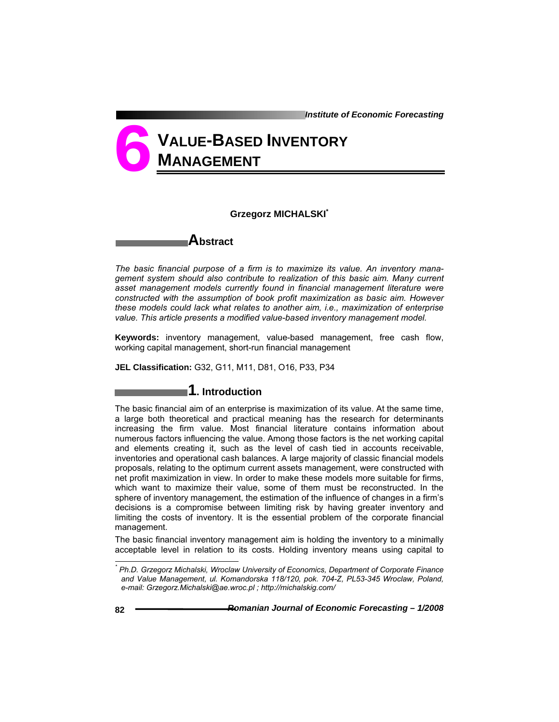*Institute of Economic Forecasting*

# **VALUE-BASED INVENTORY MANAGEMENT 6**

### **Grzegorz MICHALSKI\***

## **Abstract**

*The basic financial purpose of a firm is to maximize its value. An inventory management system should also contribute to realization of this basic aim. Many current asset management models currently found in financial management literature were constructed with the assumption of book profit maximization as basic aim. However these models could lack what relates to another aim, i.e., maximization of enterprise value. This article presents a modified value-based inventory management model.* 

**Keywords:** inventory management, value-based management, free cash flow, working capital management, short-run financial management

**JEL Classification:** G32, G11, M11, D81, O16, P33, P34

## **1. Introduction**

The basic financial aim of an enterprise is maximization of its value. At the same time, a large both theoretical and practical meaning has the research for determinants increasing the firm value. Most financial literature contains information about numerous factors influencing the value. Among those factors is the net working capital and elements creating it, such as the level of cash tied in accounts receivable, inventories and operational cash balances. A large majority of classic financial models proposals, relating to the optimum current assets management, were constructed with net profit maximization in view. In order to make these models more suitable for firms, which want to maximize their value, some of them must be reconstructed. In the sphere of inventory management, the estimation of the influence of changes in a firm's decisions is a compromise between limiting risk by having greater inventory and limiting the costs of inventory. It is the essential problem of the corporate financial management.

The basic financial inventory management aim is holding the inventory to a minimally acceptable level in relation to its costs. Holding inventory means using capital to

l

*<sup>\*</sup> Ph.D. Grzegorz Michalski, Wroclaw University of Economics, Department of Corporate Finance and Value Management, ul. Komandorska 118/120, pok. 704-Z, PL53-345 Wroclaw, Poland, e-mail: Grzegorz.Michalski@ae.wroc.pl ; http://michalskig.com/*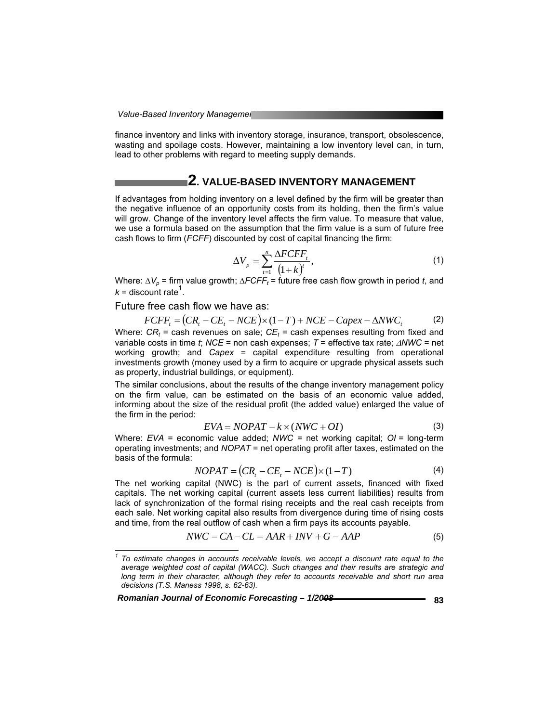finance inventory and links with inventory storage, insurance, transport, obsolescence, wasting and spoilage costs. However, maintaining a low inventory level can, in turn, lead to other problems with regard to meeting supply demands.

## **2. VALUE-BASED INVENTORY MANAGEMENT**

If advantages from holding inventory on a level defined by the firm will be greater than the negative influence of an opportunity costs from its holding, then the firm's value will grow. Change of the inventory level affects the firm value. To measure that value, we use a formula based on the assumption that the firm value is a sum of future free cash flows to firm (*FCFF*) discounted by cost of capital financing the firm:

$$
\Delta V_p = \sum_{t=1}^n \frac{\Delta FCFF_t}{(1+k)^t},\tag{1}
$$

Where:  $\Delta V_p$  = firm value growth;  $\Delta F CFF_t$  = future free cash flow growth in period *t*, and  $k =$  discount rate<sup>1</sup>.

Future free cash flow we have as:

$$
FCFF_t = (CR_t - CE_t - NCE) \times (1 - T) + NCE - Capex - \Delta NWC_t
$$
 (2)  
Where:  $CR_t$  = cash revenues on sale;  $CE_t$  = cash expenses resulting from fixed and  
variable costs in time t;  $NCE$  = non cash expenses;  $T$  = effective tax rate;  $\Delta NWC$  = net  
working growth; and  $Capex$  = capital expenditure resulting from operational  
investments growth (money used by a firm to acquire or upgrade physical assets such  
as property, industrial buildings, or equipment).

The similar conclusions, about the results of the change inventory management policy on the firm value, can be estimated on the basis of an economic value added, informing about the size of the residual profit (the added value) enlarged the value of the firm in the period:

$$
EVA = NOPAT - k \times (NWC + OI)
$$
 (3)

Where: *EVA* = economic value added; *NWC =* net working capital; *OI =* long-term operating investments; and *NOPAT* = net operating profit after taxes, estimated on the basis of the formula:

$$
NOPAT = (CRt - CEt - NCE) \times (1 - T)
$$
\n(4)

The net working capital (NWC) is the part of current assets, financed with fixed capitals. The net working capital (current assets less current liabilities) results from lack of synchronization of the formal rising receipts and the real cash receipts from each sale. Net working capital also results from divergence during time of rising costs and time, from the real outflow of cash when a firm pays its accounts payable.

$$
NWC = CA - CL = AAR + INV + G - AAP
$$
\n<sup>(5)</sup>

*Romanian Journal of Economic Forecasting – 1/2008* **<b>***Bayronanian Journal of Economic Forecasting – 1/2008* 

l

<sup>&</sup>lt;sup>1</sup> To estimate changes in accounts receivable levels, we accept a discount rate equal to the *average weighted cost of capital (WACC). Such changes and their results are strategic and long term in their character, although they refer to accounts receivable and short run area decisions (T.S. Maness 1998, s. 62-63).*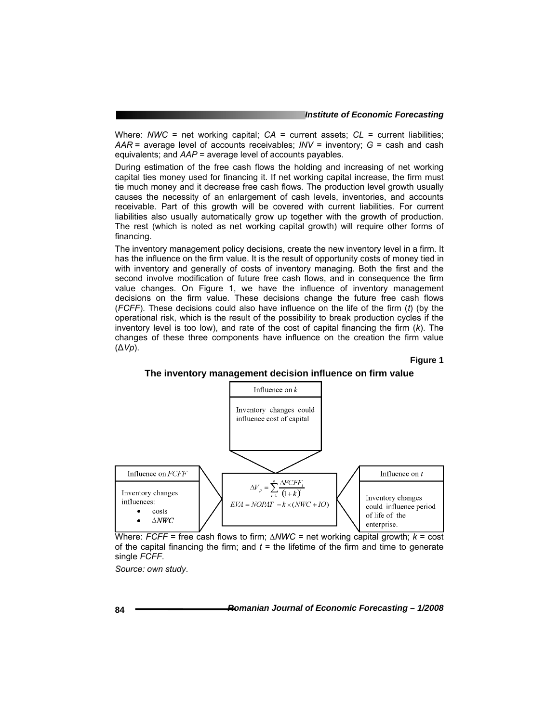Where: *NWC* = net working capital; *CA* = current assets; *CL* = current liabilities; *AAR* = average level of accounts receivables; *INV* = inventory; *G* = cash and cash equivalents; and *AAP* = average level of accounts payables.

During estimation of the free cash flows the holding and increasing of net working capital ties money used for financing it. If net working capital increase, the firm must tie much money and it decrease free cash flows. The production level growth usually causes the necessity of an enlargement of cash levels, inventories, and accounts receivable. Part of this growth will be covered with current liabilities. For current liabilities also usually automatically grow up together with the growth of production. The rest (which is noted as net working capital growth) will require other forms of financing.

The inventory management policy decisions, create the new inventory level in a firm. It has the influence on the firm value. It is the result of opportunity costs of money tied in with inventory and generally of costs of inventory managing. Both the first and the second involve modification of future free cash flows, and in consequence the firm value changes. On Figure 1, we have the influence of inventory management decisions on the firm value. These decisions change the future free cash flows (*FCFF*). These decisions could also have influence on the life of the firm (*t*) (by the operational risk, which is the result of the possibility to break production cycles if the inventory level is too low), and rate of the cost of capital financing the firm (*k*). The changes of these three components have influence on the creation the firm value (∆*Vp*).

**Figure 1** 

Influence on  $t$ 

could influence period

Inventory changes

of life of the

enterprise.



#### **The inventory management decision influence on firm value**

Where: *FCFF* = free cash flows to firm; *∆NWC* = net working capital growth; *k* = cost of the capital financing the firm; and  $t =$  the lifetime of the firm and time to generate single *FCFF*.

 $EVA = NOPAT - k \times (NWC + IO)$ 

 $\Delta V$ 

*Source: own study*.

Influence on FCFF

costs

 $\Delta\pmb{N}\pmb{W}\pmb{C}$ 

Inventory changes

influences:

 $\bullet$ 

**84** *Romanian Journal of Economic Forecasting – 1/2008*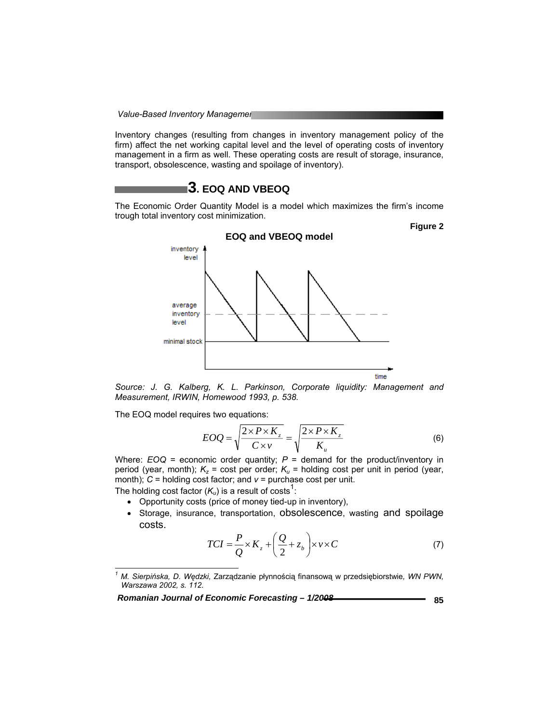**Value-Based Inventory Managemer** 

Inventory changes (resulting from changes in inventory management policy of the firm) affect the net working capital level and the level of operating costs of inventory management in a firm as well. These operating costs are result of storage, insurance, transport, obsolescence, wasting and spoilage of inventory).

## **3. EOQ AND VBEOQ**

The Economic Order Quantity Model is a model which maximizes the firm's income trough total inventory cost minimization.



*Source: J. G. Kalberg, K. L. Parkinson, Corporate liquidity: Management and Measurement, IRWIN, Homewood 1993, p. 538.* 

The EOQ model requires two equations:

l

$$
EOQ = \sqrt{\frac{2 \times P \times K_z}{C \times v}} = \sqrt{\frac{2 \times P \times K_z}{K_u}}
$$
(6)

Where:  $EOQ =$  economic order quantity;  $P =$  demand for the product/inventory in period (year, month);  $K_z$  = cost per order;  $K_u$  = holding cost per unit in period (year, month);  $C$  = holding cost factor; and  $v$  = purchase cost per unit. The holding cost factor  $(K_u)$  is a result of costs<sup>1</sup>:

- Opportunity costs (price of money tied-up in inventory),
- Storage, insurance, transportation, obsolescence, wasting and spoilage costs.

$$
TCI = \frac{P}{Q} \times K_z + \left(\frac{Q}{2} + z_b\right) \times \nu \times C \tag{7}
$$

Romanian Journal of Economic Forecasting -  $1/2008$ <br>**Biggs** 85

**Figure 2** 

*<sup>1</sup> M. Sierpińska, D. Wędzki,* Zarządzanie płynnością finansową w przedsiębiorstwie*, WN PWN, Warszawa 2002, s. 112.*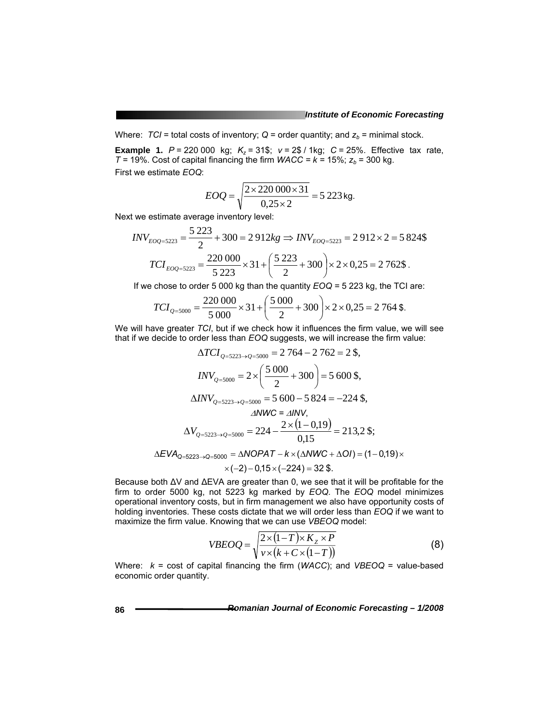Where:  $TCI$  = total costs of inventory;  $Q$  = order quantity; and  $z_b$  = minimal stock.

**Example 1.**  $P = 220000$  kg;  $K_z = 31$ \$;  $v = 2$ \$ / 1kg;  $C = 25$ %. Effective tax rate,  $T = 19\%$ . Cost of capital financing the firm *WACC* =  $k = 15\%$ ;  $z_b = 300$  kg. First we estimate *EOQ*:

$$
EOQ = \sqrt{\frac{2 \times 220\,000 \times 31}{0,25 \times 2}} = 5\,223\,\text{kg}.
$$

Next we estimate average inventory level:

$$
INV_{EOQ=5223} = \frac{5\ 223}{2} + 300 = 2\ 912kg \Rightarrow INV_{EOQ=5223} = 2\ 912 \times 2 = 5\ 824\$\
$$

$$
TCI_{EOQ=5223} = \frac{220\ 000}{5\ 223} \times 31 + \left(\frac{5\ 223}{2} + 300\right) \times 2 \times 0.25 = 2\ 762\$\.
$$

If we chose to order 5 000 kg than the quantity *EOQ =* 5 223 kg, the TCI are:

$$
TCI_{Q=5000} = \frac{220\,000}{5\,000} \times 31 + \left(\frac{5\,000}{2} + 300\right) \times 2 \times 0,25 = 2\,764\,\text{\textsterling}.
$$

We will have greater *TCI*, but if we check how it influences the firm value, we will see that if we decide to order less than *EOQ* suggests, we will increase the firm value:

$$
\Delta TCI_{Q=5223 \to Q=5000} = 2\ 764 - 2\ 762 = 2\ \text{\$},
$$
\n
$$
INV_{Q=5000} = 2 \times \left(\frac{5\ 000}{2} + 300\right) = 5\ 600\ \text{\$},
$$
\n
$$
\Delta INV_{Q=5223 \to Q=5000} = 5\ 600 - 5\ 824 = -224\ \text{\$},
$$
\n
$$
\Delta NWC = \Delta INV,
$$
\n
$$
\Delta V_{Q=5223 \to Q=5000} = 224 - \frac{2 \times (1 - 0.19)}{0.15} = 213.2\ \text{\$};
$$
\n
$$
\Delta EVA_{Q=5223 \to Q=5000} = \Delta NOPAT - k \times (\Delta NWC + \Delta OI) = (1 - 0.19) \times (1 - 2) - 0.15 \times (-224) = 32\ \text{\$}.
$$

Because both ∆V and ∆EVA are greater than 0, we see that it will be profitable for the firm to order 5000 kg, not 5223 kg marked by *EOQ*. The *EOQ* model minimizes operational inventory costs, but in firm management we also have opportunity costs of holding inventories. These costs dictate that we will order less than *EOQ* if we want to maximize the firm value. Knowing that we can use *VBEOQ* model:

$$
VBEOQ = \sqrt{\frac{2 \times (1 - T) \times K_z \times P}{\nu \times (k + C \times (1 - T))}}
$$
(8)

Where: *k* = cost of capital financing the firm (*WACC*); and *VBEOQ* = value-based economic order quantity.

**86** *Romanian Journal of Economic Forecasting – 1/2008*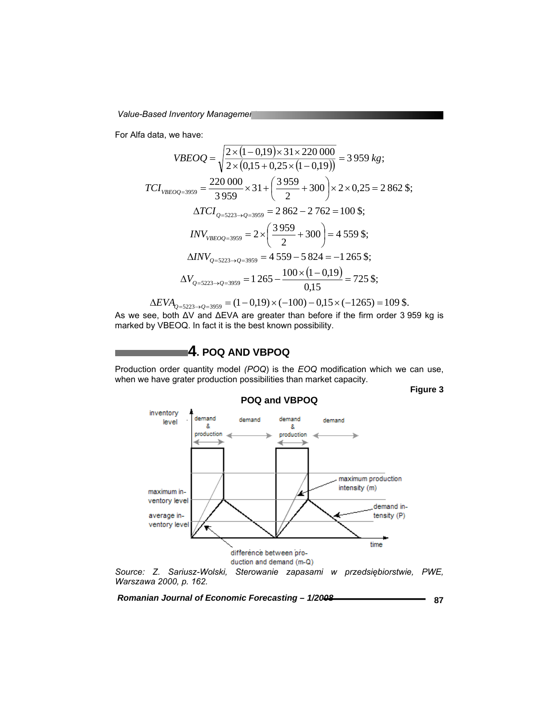**Value-Based Inventory Managemer** 

For Alfa data, we have:

$$
VBEOQ = \sqrt{\frac{2 \times (1 - 0.19) \times 31 \times 220\ 000}{2 \times (0.15 + 0.25 \times (1 - 0.19))}} = 3\ 959\ kg;
$$
  
\n
$$
TCI_{VBEOQ=3959} = \frac{220\ 000}{3\ 959} \times 31 + \left(\frac{3\ 959}{2} + 300\right) \times 2 \times 0.25 = 2\ 862\ \text{S};
$$
  
\n
$$
\Delta TCI_{Q=5223 \to Q=3959} = 2\ 862 - 2\ 762 = 100\ \text{S};
$$
  
\n
$$
INV_{VBEOQ=3959} = 2 \times \left(\frac{3\ 959}{2} + 300\right) = 4\ 559\ \text{S};
$$
  
\n
$$
\Delta INV_{Q=5223 \to Q=3959} = 4\ 559 - 5\ 824 = -1\ 265\ \text{S};
$$
  
\n
$$
\Delta V_{Q=5223 \to Q=3959} = 1\ 265 - \frac{100 \times (1 - 0.19)}{0.15} = 725\ \text{S};
$$

 $\Delta EVA_{Q=5223\rightarrow Q=3959}$  = (1 - 0,19) × (-100) - 0,15 × (-1265) = 109 \$. As we see, both ∆V and ∆EVA are greater than before if the firm order 3 959 kg is marked by VBEOQ. In fact it is the best known possibility.

**4. POQ AND VBPOQ** 

Production order quantity model *(POQ*) is the *EOQ* modification which we can use, when we have grater production possibilities than market capacity.

**Figure 3** 



Romanian Journal of Economic Forecasting - 1/2008 **<b>Romanian** 87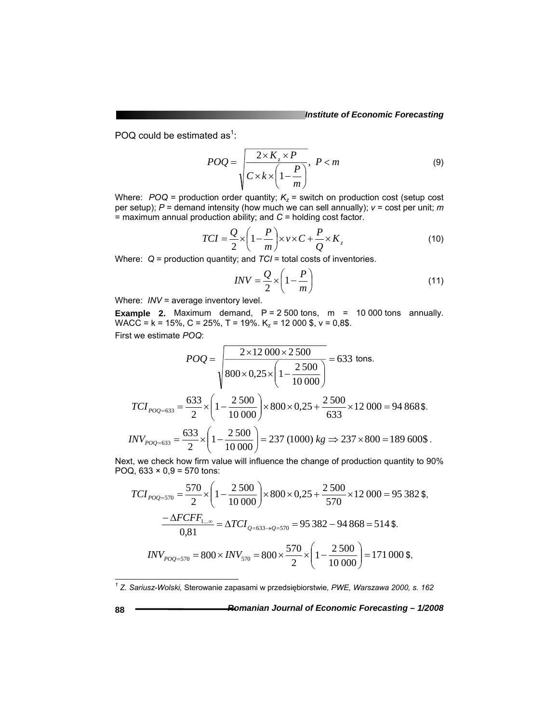POQ could be estimated as<sup>1</sup>:

$$
POQ = \frac{2 \times K_z \times P}{C \times k \times \left(1 - \frac{P}{m}\right)}, \ P < m \tag{9}
$$

Where:  $POQ$  = production order quantity;  $K_z$  = switch on production cost (setup cost per setup); *P* = demand intensity (how much we can sell annually); *v* = cost per unit; *m* = maximum annual production ability; and *C* = holding cost factor.

$$
TCI = \frac{Q}{2} \times \left(1 - \frac{P}{m}\right) \times v \times C + \frac{P}{Q} \times K_z
$$
 (10)

Where: *Q* = production quantity; and *TCI* = total costs of inventories.

$$
INV = \frac{Q}{2} \times \left(1 - \frac{P}{m}\right) \tag{11}
$$

Where: *INV* = average inventory level.

**Example 2.** Maximum demand,  $P = 2500$  tons,  $m = 10000$  tons annually. WACC =  $k = 15\%$ , C = 25%, T = 19%.  $K_z$  = 12 000 \$, v = 0,8\$. First we estimate *POQ*:

$$
POQ = \frac{2 \times 12\,000 \times 2\,500}{800 \times 0.25 \times \left(1 - \frac{2\,500}{10\,000}\right)} = 633 \text{ tons.}
$$
  

$$
TCI_{POQ=633} = \frac{633}{2} \times \left(1 - \frac{2\,500}{10\,000}\right) \times 800 \times 0.25 + \frac{2\,500}{633} \times 12\,000 = 94\,868\,\text{\textsterling}}.
$$
  

$$
INV_{POQ=633} = \frac{633}{2} \times \left(1 - \frac{2\,500}{10\,000}\right) = 237\,(1000)\,kg \Rightarrow 237 \times 800 = 189\,600\,\text{\textsterling}}.
$$

Next, we check how firm value will influence the change of production quantity to 90% POQ,  $633 \times 0.9 = 570$  tons:

$$
TCI_{POQ=570} = \frac{570}{2} \times \left(1 - \frac{2500}{10000}\right) \times 800 \times 0,25 + \frac{2500}{570} \times 12000 = 95382\text{ s},
$$
  

$$
\frac{-\Delta FCFF_{1...\infty}}{0,81} = \Delta TCI_{Q=633\rightarrow Q=570} = 95382 - 94868 = 514\text{ s}.
$$
  

$$
INV_{POQ=570} = 800 \times INV_{570} = 800 \times \frac{570}{2} \times \left(1 - \frac{2500}{10000}\right) = 171000\text{ s},
$$

 *1 Z. Sariusz-Wolski,* Sterowanie zapasami w przedsiębiorstwie*, PWE, Warszawa 2000, s. 162*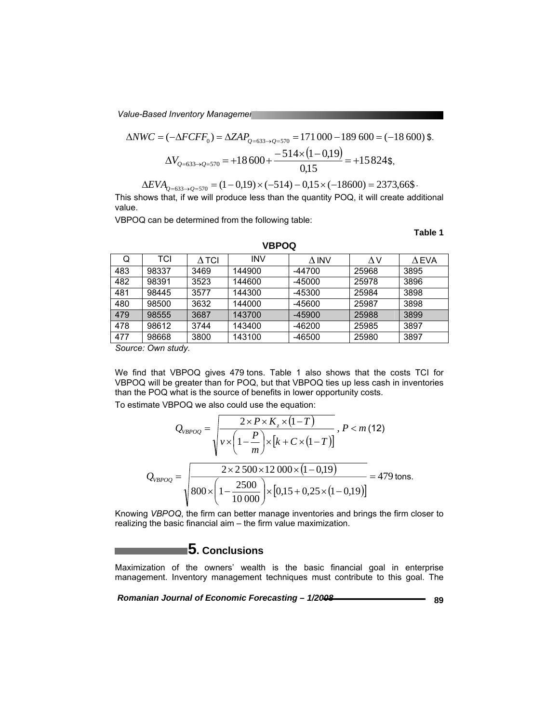**Value-Based Inventory Managemer** 

$$
\Delta NWC = (-\Delta FCFF_0) = \Delta ZAP_{Q=633 \to Q=570} = 171\,000 - 189\,600 = (-18\,600)\,\text{\textsterling}.
$$

$$
\Delta V_{Q=633 \to Q=570} = +18\,600 + \frac{-514 \times (1-0.19)}{0.15} = +15\,824\,\text{\textsterling},
$$

 $\Delta EVA_{Q=633\rightarrow Q=570} = (1-0.19) \times (-514) - 0.15 \times (-18600) = 2373,66\$ 

This shows that, if we will produce less than the quantity POQ, it will create additional value.

VBPOQ can be determined from the following table:

#### **Table 1**

| Q   | TCI   | $\Delta$ TCI | <b>INV</b> | $\Delta$ INV | ΛV    | A EVA |
|-----|-------|--------------|------------|--------------|-------|-------|
| 483 | 98337 | 3469         | 144900     | $-44700$     | 25968 | 3895  |
| 482 | 98391 | 3523         | 144600     | $-45000$     | 25978 | 3896  |
| 481 | 98445 | 3577         | 144300     | -45300       | 25984 | 3898  |
| 480 | 98500 | 3632         | 144000     | -45600       | 25987 | 3898  |
| 479 | 98555 | 3687         | 143700     | $-45900$     | 25988 | 3899  |
| 478 | 98612 | 3744         | 143400     | -46200       | 25985 | 3897  |
| 477 | 98668 | 3800         | 143100     | -46500       | 25980 | 3897  |
|     |       |              |            |              |       |       |

**VBPOQ** 

*Source: Own study.* 

We find that VBPOQ gives 479 tons. Table 1 also shows that the costs TCI for VBPOQ will be greater than for POQ, but that VBPOQ ties up less cash in inventories than the POQ what is the source of benefits in lower opportunity costs.

To estimate VBPOQ we also could use the equation:

$$
Q_{VBPOQ} = \sqrt{\frac{2 \times P \times K_z \times (1 - T)}{\nu \times \left(1 - \frac{P}{m}\right) \times \left[k + C \times (1 - T)\right]}} , P < m (12)
$$
  

$$
Q_{VBPOQ} = \sqrt{\frac{2 \times 2.500 \times 12.000 \times (1 - 0.19)}{800 \times \left(1 - \frac{2500}{10.000}\right) \times \left[0,15 + 0,25 \times (1 - 0.19)\right]}} = 479 \text{ tons.}
$$

Knowing *VBPOQ*, the firm can better manage inventories and brings the firm closer to realizing the basic financial aim – the firm value maximization.

## **5. Conclusions**

Maximization of the owners' wealth is the basic financial goal in enterprise management. Inventory management techniques must contribute to this goal. The

*Romanian Journal of Economic Forecasting – 1/2008 Bayronanian Journal of Economic Forecasting – 1/2008*